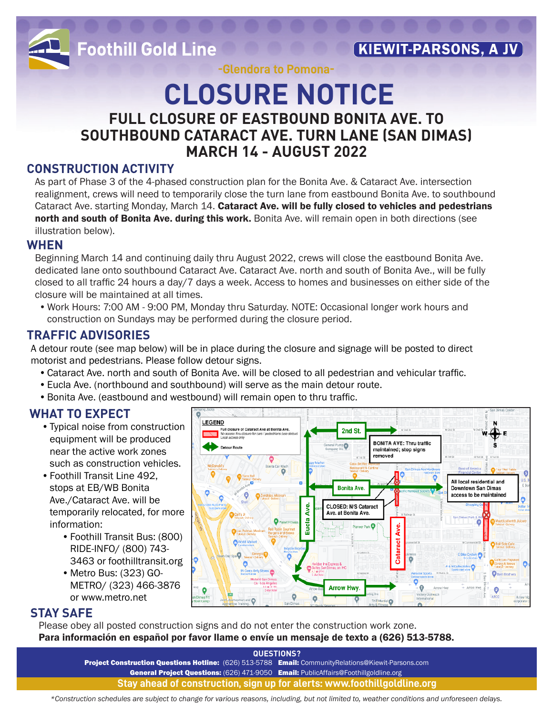

**Foothill Gold Line** 

**KIEWIT-PARSONS, A JV** 

**-Glendora to Pomona-**

### **CLOSURE NOTICE FULL CLOSURE OF EASTBOUND BONITA AVE. TO SOUTHBOUND CATARACT AVE. TURN LANE (SAN DIMAS) MARCH 14 - AUGUST 2022**

### **CONSTRUCTION ACTIVITY**

As part of Phase 3 of the 4-phased construction plan for the Bonita Ave. & Cataract Ave. intersection realignment, crews will need to temporarily close the turn lane from eastbound Bonita Ave. to southbound Cataract Ave. starting Monday, March 14. Cataract Ave. will be fully closed to vehicles and pedestrians north and south of Bonita Ave. during this work. Bonita Ave. will remain open in both directions (see illustration below).

### **WHEN**

Beginning March 14 and continuing daily thru August 2022, crews will close the eastbound Bonita Ave. dedicated lane onto southbound Cataract Ave. Cataract Ave. north and south of Bonita Ave., will be fully closed to all traffic 24 hours a day/7 days a week. Access to homes and businesses on either side of the closure will be maintained at all times.

•Work Hours: 7:00 AM - 9:00 PM, Monday thru Saturday. NOTE: Occasional longer work hours and construction on Sundays may be performed during the closure period.

### **TRAFFIC ADVISORIES**

A detour route (see map below) will be in place during the closure and signage will be posted to direct motorist and pedestrians. Please follow detour signs.

- •Cataract Ave. north and south of Bonita Ave. will be closed to all pedestrian and vehicular traffic.
- •Eucla Ave. (northbound and southbound) will serve as the main detour route.
- •Bonita Ave. (eastbound and westbound) will remain open to thru traffic.

### **WHAT TO EXPECT**

- •Typical noise from construction equipment will be produced near the active work zones such as construction vehicles.
- •Foothill Transit Line 492, stops at EB/WB Bonita Ave./Cataract Ave. will be temporarily relocated, for more information:
	- •Foothill Transit Bus: (800) RIDE-INFO/ (800) 743- 3463 or foothilltransit.org
	- •Metro Bus: (323) GO-METRO/ (323) 466-3876 or www.metro.net



### **STAY SAFE**

Please obey all posted construction signs and do not enter the construction work zone. Para información en español por favor llame o envíe un mensaje de texto a (626) 513-5788.

> **QUESTIONS?**  Project Construction Questions Hotline: (626) 513-5788 Email: CommunityRelations@Kiewit-Parsons.com General Project Questions: (626) 471-9050 Email: PublicAffairs@Foothillgoldline.org **Stay ahead of construction, sign up for alerts: www.foothillgoldline.org**

*\*Construction schedules are subject to change for various reasons, including, but not limited to, weather conditions and unforeseen delays.*